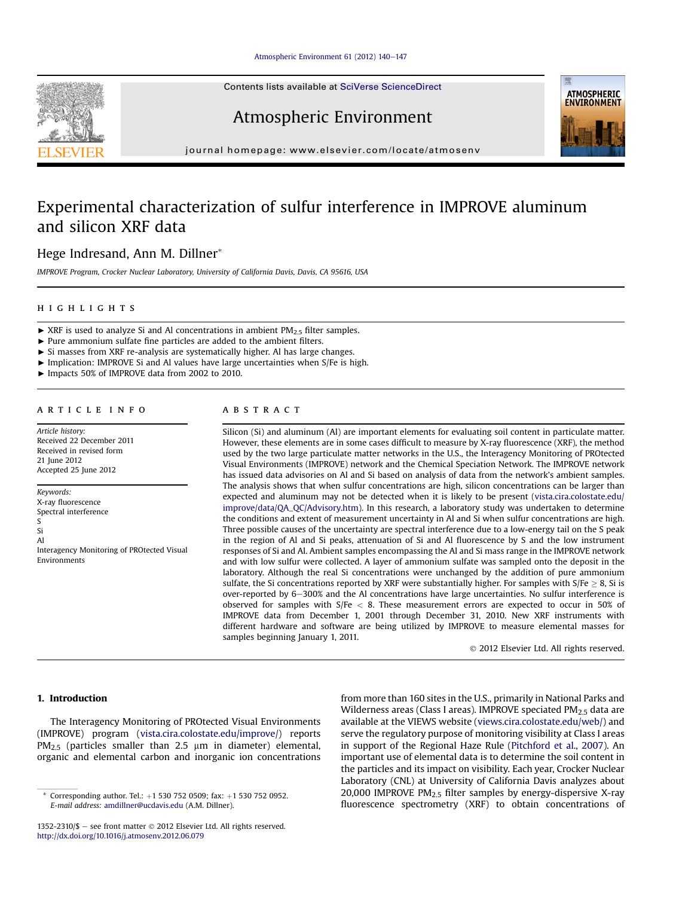### [Atmospheric Environment 61 \(2012\) 140](http://dx.doi.org/10.1016/j.atmosenv.2012.06.079)-[147](http://dx.doi.org/10.1016/j.atmosenv.2012.06.079)

Contents lists available at SciVerse ScienceDirect



# Atmospheric Environment

journal homepage:<www.elsevier.com/locate/atmosenv>

## Experimental characterization of sulfur interference in IMPROVE aluminum and silicon XRF data

## Hege Indresand, Ann M. Dillner\*

IMPROVE Program, Crocker Nuclear Laboratory, University of California Davis, Davis, CA 95616, USA

# highlights are the state of the state of

- $\triangleright$  XRF is used to analyze Si and Al concentrations in ambient PM<sub>2.5</sub> filter samples.
- $\blacktriangleright$  Pure ammonium sulfate fine particles are added to the ambient filters.
- $\triangleright$  Si masses from XRF re-analysis are systematically higher. Al has large changes.
- < Implication: IMPROVE Si and Al values have large uncertainties when S/Fe is high.
- < Impacts 50% of IMPROVE data from 2002 to 2010.

Article history: Received 22 December 2011 Received in revised form 21 June 2012 Accepted 25 June 2012

Keywords: X-ray fluorescence Spectral interference S

Environments

Si Al Interagency Monitoring of PROtected Visual

Silicon (Si) and aluminum (Al) are important elements for evaluating soil content in particulate matter. However, these elements are in some cases difficult to measure by X-ray fluorescence (XRF), the method used by the two large particulate matter networks in the U.S., the Interagency Monitoring of PROtected Visual Environments (IMPROVE) network and the Chemical Speciation Network. The IMPROVE network has issued data advisories on Al and Si based on analysis of data from the network's ambient samples. The analysis shows that when sulfur concentrations are high, silicon concentrations can be larger than expected and aluminum may not be detected when it is likely to be present [\(vista.cira.colostate.edu/](http://vista.cira.colostate.edu/improve/data/QA_QC/Advisory.htm) [improve/data/QA\\_QC/Advisory.htm](http://vista.cira.colostate.edu/improve/data/QA_QC/Advisory.htm)). In this research, a laboratory study was undertaken to determine the conditions and extent of measurement uncertainty in Al and Si when sulfur concentrations are high. Three possible causes of the uncertainty are spectral interference due to a low-energy tail on the S peak in the region of Al and Si peaks, attenuation of Si and Al fluorescence by S and the low instrument responses of Si and Al. Ambient samples encompassing the Al and Si mass range in the IMPROVE network and with low sulfur were collected. A layer of ammonium sulfate was sampled onto the deposit in the laboratory. Although the real Si concentrations were unchanged by the addition of pure ammonium sulfate, the Si concentrations reported by XRF were substantially higher. For samples with  $S/Fe > 8$ , Si is over-reported by 6-300% and the Al concentrations have large uncertainties. No sulfur interference is observed for samples with  $S/Fe < 8$ . These measurement errors are expected to occur in 50% of IMPROVE data from December 1, 2001 through December 31, 2010. New XRF instruments with different hardware and software are being utilized by IMPROVE to measure elemental masses for samples beginning January 1, 2011.

2012 Elsevier Ltd. All rights reserved.

## 1. Introduction

The Interagency Monitoring of PROtected Visual Environments (IMPROVE) program [\(vista.cira.colostate.edu/improve/](http://vista.cira.colostate.edu/improve/)) reports PM<sub>2.5</sub> (particles smaller than 2.5  $\mu$ m in diameter) elemental, organic and elemental carbon and inorganic ion concentrations from more than 160 sites in the U.S., primarily in National Parks and Wilderness areas (Class I areas). IMPROVE speciated  $PM<sub>2.5</sub>$  data are available at the VIEWS website ([views.cira.colostate.edu/web/\)](http://views.cira.colostate.edu/web/) and serve the regulatory purpose of monitoring visibility at Class I areas in support of the Regional Haze Rule ([Pitchford et al., 2007](#page-7-0)). An important use of elemental data is to determine the soil content in the particles and its impact on visibility. Each year, Crocker Nuclear Laboratory (CNL) at University of California Davis analyzes about 20,000 IMPROVE PM2.5 filter samples by energy-dispersive X-ray fluorescence spectrometry (XRF) to obtain concentrations of

Corresponding author. Tel.:  $+1$  530 752 0509; fax:  $+1$  530 752 0952. E-mail address: [amdillner@ucdavis.edu](mailto:amdillner@ucdavis.edu) (A.M. Dillner).

<sup>1352-2310/\$ -</sup> see front matter  $\odot$  2012 Elsevier Ltd. All rights reserved. <http://dx.doi.org/10.1016/j.atmosenv.2012.06.079>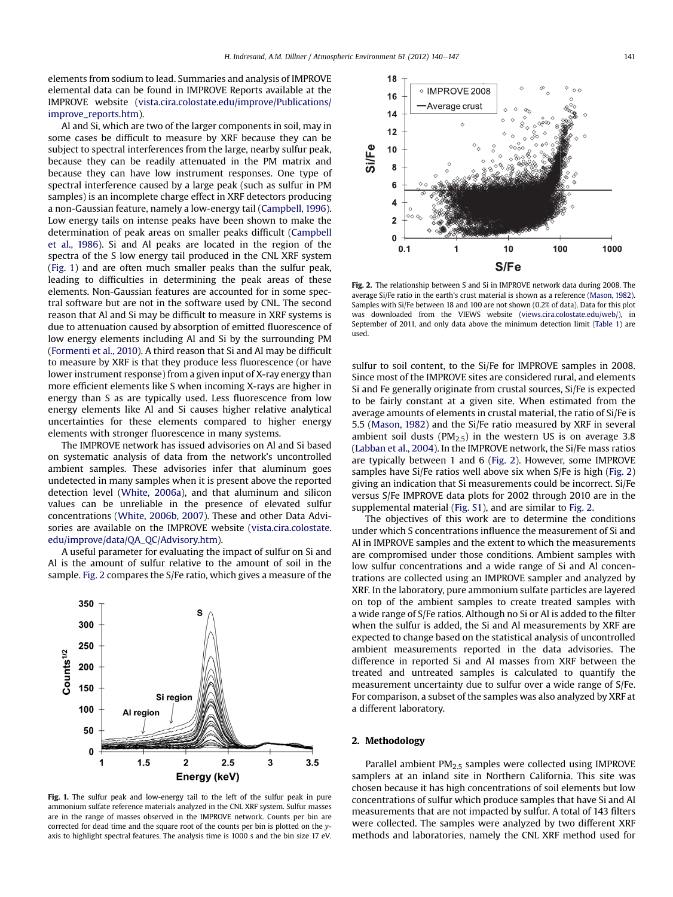<span id="page-1-0"></span>elements from sodium to lead. Summaries and analysis of IMPROVE elemental data can be found in IMPROVE Reports available at the IMPROVE website ([vista.cira.colostate.edu/improve/Publications/](http://vista.cira.colostate.edu/improve/Publications/improve_reports.htm) [improve\\_reports.htm\)](http://vista.cira.colostate.edu/improve/Publications/improve_reports.htm).

Al and Si, which are two of the larger components in soil, may in some cases be difficult to measure by XRF because they can be subject to spectral interferences from the large, nearby sulfur peak, because they can be readily attenuated in the PM matrix and because they can have low instrument responses. One type of spectral interference caused by a large peak (such as sulfur in PM samples) is an incomplete charge effect in XRF detectors producing a non-Gaussian feature, namely a low-energy tail [\(Campbell, 1996\)](#page-6-0). Low energy tails on intense peaks have been shown to make the determination of peak areas on smaller peaks difficult [\(Campbell](#page-6-0) [et al., 1986\)](#page-6-0). Si and Al peaks are located in the region of the spectra of the S low energy tail produced in the CNL XRF system (Fig. 1) and are often much smaller peaks than the sulfur peak, leading to difficulties in determining the peak areas of these elements. Non-Gaussian features are accounted for in some spectral software but are not in the software used by CNL. The second reason that Al and Si may be difficult to measure in XRF systems is due to attenuation caused by absorption of emitted fluorescence of low energy elements including Al and Si by the surrounding PM ([Formenti et al., 2010\)](#page-6-0). A third reason that Si and Al may be difficult to measure by XRF is that they produce less fluorescence (or have lower instrument response) from a given input of X-ray energy than more efficient elements like S when incoming X-rays are higher in energy than S as are typically used. Less fluorescence from low energy elements like Al and Si causes higher relative analytical uncertainties for these elements compared to higher energy elements with stronger fluorescence in many systems.

The IMPROVE network has issued advisories on Al and Si based on systematic analysis of data from the network's uncontrolled ambient samples. These advisories infer that aluminum goes undetected in many samples when it is present above the reported detection level [\(White, 2006a](#page-7-0)), and that aluminum and silicon values can be unreliable in the presence of elevated sulfur concentrations [\(White, 2006b, 2007](#page-7-0)). These and other Data Advisories are available on the IMPROVE website ([vista.cira.colostate.](http://vista.cira.colostate.edu/improve/data/QA_QC/Advisory.htm) [edu/improve/data/QA\\_QC/Advisory.htm\)](http://vista.cira.colostate.edu/improve/data/QA_QC/Advisory.htm).

A useful parameter for evaluating the impact of sulfur on Si and Al is the amount of sulfur relative to the amount of soil in the sample. Fig. 2 compares the S/Fe ratio, which gives a measure of the



Fig. 1. The sulfur peak and low-energy tail to the left of the sulfur peak in pure ammonium sulfate reference materials analyzed in the CNL XRF system. Sulfur masses are in the range of masses observed in the IMPROVE network. Counts per bin are corrected for dead time and the square root of the counts per bin is plotted on the yaxis to highlight spectral features. The analysis time is 1000 s and the bin size 17 eV.



Fig. 2. The relationship between S and Si in IMPROVE network data during 2008. The average Si/Fe ratio in the earth's crust material is shown as a reference [\(Mason, 1982\)](#page-7-0). Samples with Si/Fe between 18 and 100 are not shown (0.2% of data). Data for this plot was downloaded from the VIEWS website ([views.cira.colostate.edu/web/](http://views.cira.colostate.edu/web/)), in September of 2011, and only data above the minimum detection limit ([Table 1\)](#page-2-0) are used.

sulfur to soil content, to the Si/Fe for IMPROVE samples in 2008. Since most of the IMPROVE sites are considered rural, and elements Si and Fe generally originate from crustal sources, Si/Fe is expected to be fairly constant at a given site. When estimated from the average amounts of elements in crustal material, the ratio of Si/Fe is 5.5 ([Mason, 1982\)](#page-7-0) and the Si/Fe ratio measured by XRF in several ambient soil dusts ( $PM<sub>2.5</sub>$ ) in the western US is on average 3.8 ([Labban et al., 2004\)](#page-7-0). In the IMPROVE network, the Si/Fe mass ratios are typically between 1 and 6 (Fig. 2). However, some IMPROVE samples have Si/Fe ratios well above six when S/Fe is high (Fig. 2) giving an indication that Si measurements could be incorrect. Si/Fe versus S/Fe IMPROVE data plots for 2002 through 2010 are in the supplemental material (Fig. S1), and are similar to Fig. 2.

The objectives of this work are to determine the conditions under which S concentrations influence the measurement of Si and Al in IMPROVE samples and the extent to which the measurements are compromised under those conditions. Ambient samples with low sulfur concentrations and a wide range of Si and Al concentrations are collected using an IMPROVE sampler and analyzed by XRF. In the laboratory, pure ammonium sulfate particles are layered on top of the ambient samples to create treated samples with a wide range of S/Fe ratios. Although no Si or Al is added to the filter when the sulfur is added, the Si and Al measurements by XRF are expected to change based on the statistical analysis of uncontrolled ambient measurements reported in the data advisories. The difference in reported Si and Al masses from XRF between the treated and untreated samples is calculated to quantify the measurement uncertainty due to sulfur over a wide range of S/Fe. For comparison, a subset of the samples was also analyzed by XRF at a different laboratory.

#### 2. Methodology

Parallel ambient PM2.5 samples were collected using IMPROVE samplers at an inland site in Northern California. This site was chosen because it has high concentrations of soil elements but low concentrations of sulfur which produce samples that have Si and Al measurements that are not impacted by sulfur. A total of 143 filters were collected. The samples were analyzed by two different XRF methods and laboratories, namely the CNL XRF method used for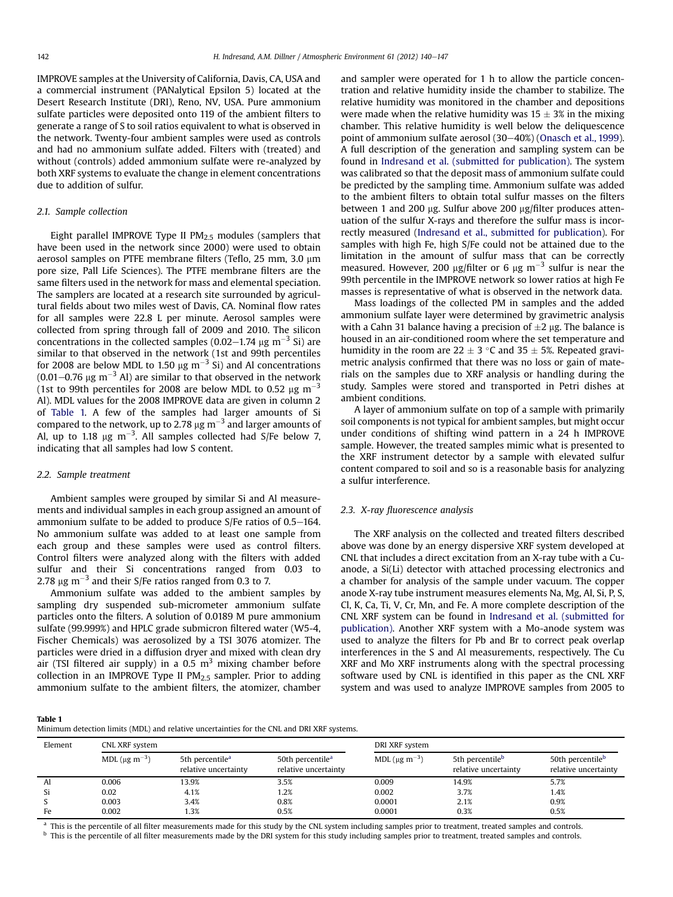<span id="page-2-0"></span>IMPROVE samples at the University of California, Davis, CA, USA and a commercial instrument (PANalytical Epsilon 5) located at the Desert Research Institute (DRI), Reno, NV, USA. Pure ammonium sulfate particles were deposited onto 119 of the ambient filters to generate a range of S to soil ratios equivalent to what is observed in the network. Twenty-four ambient samples were used as controls and had no ammonium sulfate added. Filters with (treated) and without (controls) added ammonium sulfate were re-analyzed by both XRF systems to evaluate the change in element concentrations due to addition of sulfur.

#### 2.1. Sample collection

Eight parallel IMPROVE Type II PM<sub>2.5</sub> modules (samplers that have been used in the network since 2000) were used to obtain aerosol samples on PTFE membrane filters (Teflo, 25 mm, 3.0 µm pore size, Pall Life Sciences). The PTFE membrane filters are the same filters used in the network for mass and elemental speciation. The samplers are located at a research site surrounded by agricultural fields about two miles west of Davis, CA. Nominal flow rates for all samples were 22.8 L per minute. Aerosol samples were collected from spring through fall of 2009 and 2010. The silicon concentrations in the collected samples (0.02–1.74  $\mu$ g m<sup>-3</sup> Si) are similar to that observed in the network (1st and 99th percentiles for 2008 are below MDL to 1.50  $\mu$ g m<sup>-3</sup> Si) and Al concentrations  $(0.01-0.76 \text{ µg m}^{-3}$  Al) are similar to that observed in the network (1st to 99th percentiles for 2008 are below MDL to 0.52  $\mu$ g m<sup>-3</sup> Al). MDL values for the 2008 IMPROVE data are given in column 2 of Table 1. A few of the samples had larger amounts of Si compared to the network, up to  $2.78 \mu g m^{-3}$  and larger amounts of Al, up to 1.18  $\mu$ g m<sup>-3</sup>. All samples collected had S/Fe below 7, indicating that all samples had low S content.

### 2.2. Sample treatment

Ambient samples were grouped by similar Si and Al measurements and individual samples in each group assigned an amount of ammonium sulfate to be added to produce  $S/Fe$  ratios of 0.5–164. No ammonium sulfate was added to at least one sample from each group and these samples were used as control filters. Control filters were analyzed along with the filters with added sulfur and their Si concentrations ranged from 0.03 to 2.78  $\mu$ g m<sup>-3</sup> and their S/Fe ratios ranged from 0.3 to 7.

Ammonium sulfate was added to the ambient samples by sampling dry suspended sub-micrometer ammonium sulfate particles onto the filters. A solution of 0.0189 M pure ammonium sulfate (99.999%) and HPLC grade submicron filtered water (W5-4, Fischer Chemicals) was aerosolized by a TSI 3076 atomizer. The particles were dried in a diffusion dryer and mixed with clean dry air (TSI filtered air supply) in a 0.5  $m<sup>3</sup>$  mixing chamber before collection in an IMPROVE Type II PM2.5 sampler. Prior to adding ammonium sulfate to the ambient filters, the atomizer, chamber

and sampler were operated for 1 h to allow the particle concentration and relative humidity inside the chamber to stabilize. The relative humidity was monitored in the chamber and depositions were made when the relative humidity was  $15 \pm 3\%$  in the mixing chamber. This relative humidity is well below the deliquescence point of ammonium sulfate aerosol (30-40%) [\(Onasch et al., 1999\)](#page-7-0). A full description of the generation and sampling system can be found in [Indresand et al. \(submitted for publication\)](#page-7-0). The system was calibrated so that the deposit mass of ammonium sulfate could be predicted by the sampling time. Ammonium sulfate was added to the ambient filters to obtain total sulfur masses on the filters between 1 and 200 µg. Sulfur above 200 µg/filter produces attenuation of the sulfur X-rays and therefore the sulfur mass is incorrectly measured ([Indresand et al., submitted for publication\)](#page-7-0). For samples with high Fe, high S/Fe could not be attained due to the limitation in the amount of sulfur mass that can be correctly measured. However, 200 µg/filter or 6 µg  $\text{m}^{-3}$  sulfur is near the 99th percentile in the IMPROVE network so lower ratios at high Fe masses is representative of what is observed in the network data.

Mass loadings of the collected PM in samples and the added ammonium sulfate layer were determined by gravimetric analysis with a Cahn 31 balance having a precision of  $\pm 2$  µg. The balance is housed in an air-conditioned room where the set temperature and humidity in the room are  $22 \pm 3$  °C and  $35 \pm 5$ %. Repeated gravimetric analysis confirmed that there was no loss or gain of materials on the samples due to XRF analysis or handling during the study. Samples were stored and transported in Petri dishes at ambient conditions.

A layer of ammonium sulfate on top of a sample with primarily soil components is not typical for ambient samples, but might occur under conditions of shifting wind pattern in a 24 h IMPROVE sample. However, the treated samples mimic what is presented to the XRF instrument detector by a sample with elevated sulfur content compared to soil and so is a reasonable basis for analyzing a sulfur interference.

#### 2.3. X-ray fluorescence analysis

The XRF analysis on the collected and treated filters described above was done by an energy dispersive XRF system developed at CNL that includes a direct excitation from an X-ray tube with a Cuanode, a Si(Li) detector with attached processing electronics and a chamber for analysis of the sample under vacuum. The copper anode X-ray tube instrument measures elements Na, Mg, Al, Si, P, S, Cl, K, Ca, Ti, V, Cr, Mn, and Fe. A more complete description of the CNL XRF system can be found in [Indresand et al. \(submitted for](#page-7-0) [publication\)](#page-7-0). Another XRF system with a Mo-anode system was used to analyze the filters for Pb and Br to correct peak overlap interferences in the S and Al measurements, respectively. The Cu XRF and Mo XRF instruments along with the spectral processing software used by CNL is identified in this paper as the CNL XRF system and was used to analyze IMPROVE samples from 2005 to

Table 1

Minimum detection limits (MDL) and relative uncertainties for the CNL and DRI XRF systems.

| Element | CNL XRF system                  |                                                     |                                                      | DRI XRF system                  |                                                     |                                                      |
|---------|---------------------------------|-----------------------------------------------------|------------------------------------------------------|---------------------------------|-----------------------------------------------------|------------------------------------------------------|
|         | MDL ( $\mu$ g m <sup>-3</sup> ) | 5th percentile <sup>a</sup><br>relative uncertainty | 50th percentile <sup>a</sup><br>relative uncertainty | MDL ( $\mu$ g m <sup>-3</sup> ) | 5th percentile <sup>b</sup><br>relative uncertainty | 50th percentile <sup>b</sup><br>relative uncertainty |
| Al      | 0.006                           | 13.9%                                               | 3.5%                                                 | 0.009                           | 14.9%                                               | 5.7%                                                 |
| Si      | 0.02                            | 4.1%                                                | 1.2%                                                 | 0.002                           | 3.7%                                                | 1.4%                                                 |
|         | 0.003                           | 3.4%                                                | 0.8%                                                 | 0.0001                          | 2.1%                                                | 0.9%                                                 |
| Fe      | 0.002                           | 1.3%                                                | 0.5%                                                 | 0.0001                          | 0.3%                                                | 0.5%                                                 |
|         |                                 |                                                     |                                                      |                                 |                                                     |                                                      |

This is the percentile of all filter measurements made for this study by the CNL system including samples prior to treatment, treated samples and controls. <sup>b</sup> This is the percentile of all filter measurements made by the DRI system for this study including samples prior to treatment, treated samples and controls.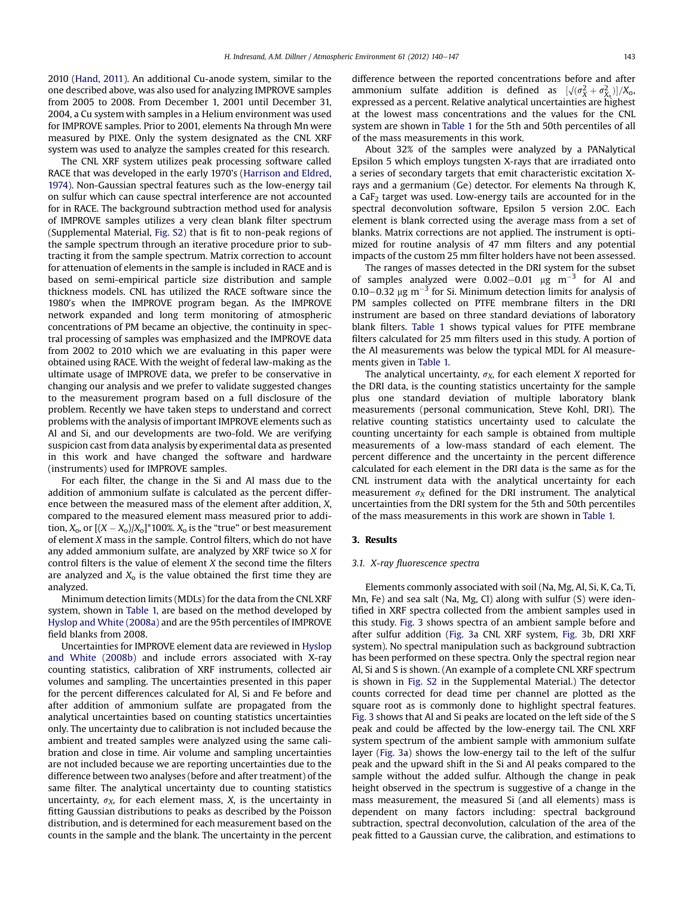2010 ([Hand, 2011](#page-6-0)). An additional Cu-anode system, similar to the one described above, was also used for analyzing IMPROVE samples from 2005 to 2008. From December 1, 2001 until December 31, 2004, a Cu system with samples in a Helium environment was used for IMPROVE samples. Prior to 2001, elements Na through Mn were measured by PIXE. Only the system designated as the CNL XRF system was used to analyze the samples created for this research.

The CNL XRF system utilizes peak processing software called RACE that was developed in the early 1970's ([Harrison and Eldred,](#page-7-0) [1974](#page-7-0)). Non-Gaussian spectral features such as the low-energy tail on sulfur which can cause spectral interference are not accounted for in RACE. The background subtraction method used for analysis of IMPROVE samples utilizes a very clean blank filter spectrum (Supplemental Material, Fig. S2) that is fit to non-peak regions of the sample spectrum through an iterative procedure prior to subtracting it from the sample spectrum. Matrix correction to account for attenuation of elements in the sample is included in RACE and is based on semi-empirical particle size distribution and sample thickness models. CNL has utilized the RACE software since the 1980's when the IMPROVE program began. As the IMPROVE network expanded and long term monitoring of atmospheric concentrations of PM became an objective, the continuity in spectral processing of samples was emphasized and the IMPROVE data from 2002 to 2010 which we are evaluating in this paper were obtained using RACE. With the weight of federal law-making as the ultimate usage of IMPROVE data, we prefer to be conservative in changing our analysis and we prefer to validate suggested changes to the measurement program based on a full disclosure of the problem. Recently we have taken steps to understand and correct problems with the analysis of important IMPROVE elements such as Al and Si, and our developments are two-fold. We are verifying suspicion cast from data analysis by experimental data as presented in this work and have changed the software and hardware (instruments) used for IMPROVE samples.

For each filter, the change in the Si and Al mass due to the addition of ammonium sulfate is calculated as the percent difference between the measured mass of the element after addition, X, compared to the measured element mass measured prior to addition,  $X_0$ , or  $[(X - X_0)/X_0]^*$  100%.  $X_0$  is the "true" or best measurement of element X mass in the sample. Control filters, which do not have any added ammonium sulfate, are analyzed by XRF twice so X for control filters is the value of element  $X$  the second time the filters are analyzed and  $X_0$  is the value obtained the first time they are analyzed.

Minimum detection limits (MDLs) for the data from the CNL XRF system, shown in [Table 1,](#page-2-0) are based on the method developed by [Hyslop and White \(2008a\)](#page-7-0) and are the 95th percentiles of IMPROVE field blanks from 2008.

Uncertainties for IMPROVE element data are reviewed in [Hyslop](#page-7-0) [and White \(2008b\)](#page-7-0) and include errors associated with X-ray counting statistics, calibration of XRF instruments, collected air volumes and sampling. The uncertainties presented in this paper for the percent differences calculated for Al, Si and Fe before and after addition of ammonium sulfate are propagated from the analytical uncertainties based on counting statistics uncertainties only. The uncertainty due to calibration is not included because the ambient and treated samples were analyzed using the same calibration and close in time. Air volume and sampling uncertainties are not included because we are reporting uncertainties due to the difference between two analyses (before and after treatment) of the same filter. The analytical uncertainty due to counting statistics uncertainty,  $\sigma_X$ , for each element mass, X, is the uncertainty in fitting Gaussian distributions to peaks as described by the Poisson distribution, and is determined for each measurement based on the counts in the sample and the blank. The uncertainty in the percent difference between the reported concentrations before and after ammonium sulfate addition is defined as  $\left[\sqrt{\left(\sigma_{X}^2 + \sigma_{X_0}^2\right)}\right]/X_0$ , expressed as a percent. Relative analytical uncertainties are highest at the lowest mass concentrations and the values for the CNL system are shown in [Table 1](#page-2-0) for the 5th and 50th percentiles of all of the mass measurements in this work.

About 32% of the samples were analyzed by a PANalytical Epsilon 5 which employs tungsten X-rays that are irradiated onto a series of secondary targets that emit characteristic excitation Xrays and a germanium (Ge) detector. For elements Na through K, a CaF2 target was used. Low-energy tails are accounted for in the spectral deconvolution software, Epsilon 5 version 2.0C. Each element is blank corrected using the average mass from a set of blanks. Matrix corrections are not applied. The instrument is optimized for routine analysis of 47 mm filters and any potential impacts of the custom 25 mm filter holders have not been assessed.

The ranges of masses detected in the DRI system for the subset of samples analyzed were  $0.002-0.01$   $\mu$ g m<sup>-3</sup> for Al and 0.10–0.32  $\mu$ g m<sup>-3</sup> for Si. Minimum detection limits for analysis of PM samples collected on PTFE membrane filters in the DRI instrument are based on three standard deviations of laboratory blank filters. [Table 1](#page-2-0) shows typical values for PTFE membrane filters calculated for 25 mm filters used in this study. A portion of the Al measurements was below the typical MDL for Al measurements given in [Table 1.](#page-2-0)

The analytical uncertainty,  $\sigma_X$ , for each element X reported for the DRI data, is the counting statistics uncertainty for the sample plus one standard deviation of multiple laboratory blank measurements (personal communication, Steve Kohl, DRI). The relative counting statistics uncertainty used to calculate the counting uncertainty for each sample is obtained from multiple measurements of a low-mass standard of each element. The percent difference and the uncertainty in the percent difference calculated for each element in the DRI data is the same as for the CNL instrument data with the analytical uncertainty for each measurement  $\sigma_X$  defined for the DRI instrument. The analytical uncertainties from the DRI system for the 5th and 50th percentiles of the mass measurements in this work are shown in [Table 1.](#page-2-0)

### 3. Results

#### 3.1. X-ray fluorescence spectra

Elements commonly associated with soil (Na, Mg, Al, Si, K, Ca, Ti, Mn, Fe) and sea salt (Na, Mg, Cl) along with sulfur (S) were identified in XRF spectra collected from the ambient samples used in this study. [Fig. 3](#page-4-0) shows spectra of an ambient sample before and after sulfur addition ([Fig. 3](#page-4-0)a CNL XRF system, [Fig. 3b](#page-4-0), DRI XRF system). No spectral manipulation such as background subtraction has been performed on these spectra. Only the spectral region near Al, Si and S is shown. (An example of a complete CNL XRF spectrum is shown in Fig. S2 in the Supplemental Material.) The detector counts corrected for dead time per channel are plotted as the square root as is commonly done to highlight spectral features. [Fig. 3](#page-4-0) shows that Al and Si peaks are located on the left side of the S peak and could be affected by the low-energy tail. The CNL XRF system spectrum of the ambient sample with ammonium sulfate layer [\(Fig. 3](#page-4-0)a) shows the low-energy tail to the left of the sulfur peak and the upward shift in the Si and Al peaks compared to the sample without the added sulfur. Although the change in peak height observed in the spectrum is suggestive of a change in the mass measurement, the measured Si (and all elements) mass is dependent on many factors including: spectral background subtraction, spectral deconvolution, calculation of the area of the peak fitted to a Gaussian curve, the calibration, and estimations to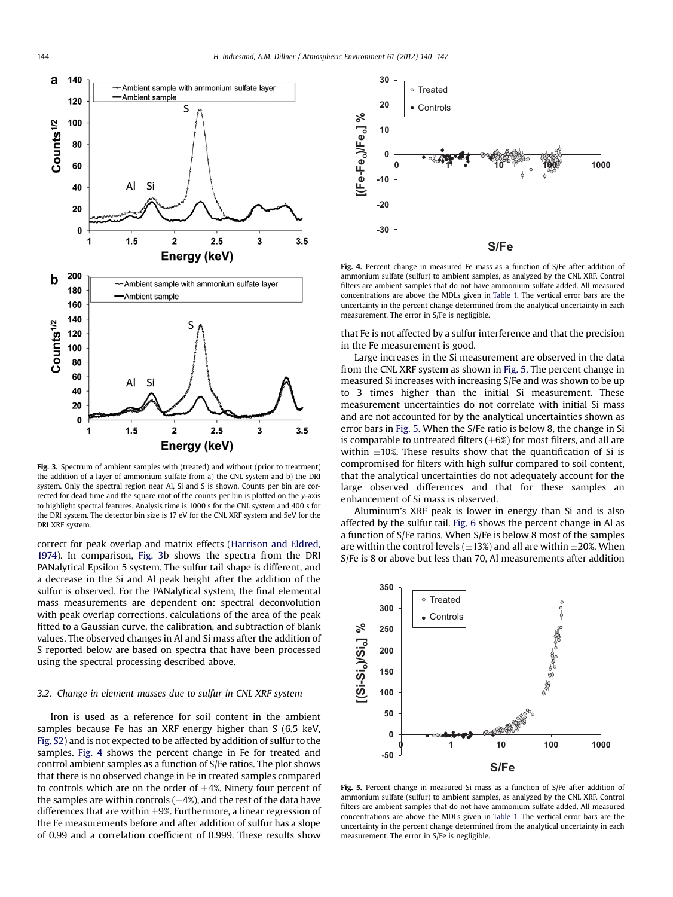<span id="page-4-0"></span>

Fig. 3. Spectrum of ambient samples with (treated) and without (prior to treatment) the addition of a layer of ammonium sulfate from a) the CNL system and b) the DRI system. Only the spectral region near Al, Si and S is shown. Counts per bin are corrected for dead time and the square root of the counts per bin is plotted on the y-axis to highlight spectral features. Analysis time is 1000 s for the CNL system and 400 s for the DRI system. The detector bin size is 17 eV for the CNL XRF system and 5eV for the DRI XRF system.

correct for peak overlap and matrix effects [\(Harrison and Eldred,](#page-7-0) [1974\)](#page-7-0). In comparison, Fig. 3b shows the spectra from the DRI PANalytical Epsilon 5 system. The sulfur tail shape is different, and a decrease in the Si and Al peak height after the addition of the sulfur is observed. For the PANalytical system, the final elemental mass measurements are dependent on: spectral deconvolution with peak overlap corrections, calculations of the area of the peak fitted to a Gaussian curve, the calibration, and subtraction of blank values. The observed changes in Al and Si mass after the addition of S reported below are based on spectra that have been processed using the spectral processing described above.

#### 3.2. Change in element masses due to sulfur in CNL XRF system

Iron is used as a reference for soil content in the ambient samples because Fe has an XRF energy higher than S (6.5 keV, Fig. S2) and is not expected to be affected by addition of sulfur to the samples. Fig. 4 shows the percent change in Fe for treated and control ambient samples as a function of S/Fe ratios. The plot shows that there is no observed change in Fe in treated samples compared to controls which are on the order of  $\pm 4$ %. Ninety four percent of the samples are within controls  $(\pm 4\%)$ , and the rest of the data have differences that are within  $\pm 9$ %. Furthermore, a linear regression of the Fe measurements before and after addition of sulfur has a slope of 0.99 and a correlation coefficient of 0.999. These results show



Fig. 4. Percent change in measured Fe mass as a function of S/Fe after addition of ammonium sulfate (sulfur) to ambient samples, as analyzed by the CNL XRF. Control filters are ambient samples that do not have ammonium sulfate added. All measured concentrations are above the MDLs given in [Table 1.](#page-2-0) The vertical error bars are the uncertainty in the percent change determined from the analytical uncertainty in each measurement. The error in S/Fe is negligible.

that Fe is not affected by a sulfur interference and that the precision in the Fe measurement is good.

Large increases in the Si measurement are observed in the data from the CNL XRF system as shown in Fig. 5. The percent change in measured Si increases with increasing S/Fe and was shown to be up to 3 times higher than the initial Si measurement. These measurement uncertainties do not correlate with initial Si mass and are not accounted for by the analytical uncertainties shown as error bars in Fig. 5. When the S/Fe ratio is below 8, the change in Si is comparable to untreated filters  $(\pm 6%)$  for most filters, and all are within  $\pm 10$ %. These results show that the quantification of Si is compromised for filters with high sulfur compared to soil content, that the analytical uncertainties do not adequately account for the large observed differences and that for these samples an enhancement of Si mass is observed.

Aluminum's XRF peak is lower in energy than Si and is also affected by the sulfur tail. [Fig. 6](#page-5-0) shows the percent change in Al as a function of S/Fe ratios. When S/Fe is below 8 most of the samples are within the control levels ( $\pm$ 13%) and all are within  $\pm$ 20%. When S/Fe is 8 or above but less than 70, Al measurements after addition



Fig. 5. Percent change in measured Si mass as a function of S/Fe after addition of ammonium sulfate (sulfur) to ambient samples, as analyzed by the CNL XRF. Control filters are ambient samples that do not have ammonium sulfate added. All measured concentrations are above the MDLs given in [Table 1.](#page-2-0) The vertical error bars are the uncertainty in the percent change determined from the analytical uncertainty in each measurement. The error in S/Fe is negligible.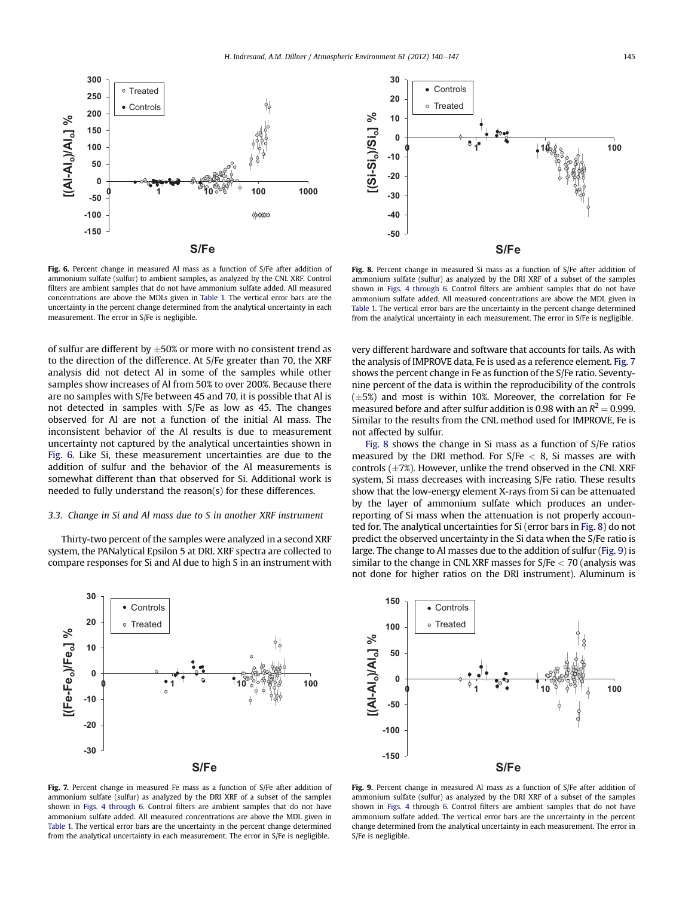<span id="page-5-0"></span>



Fig. 6. Percent change in measured Al mass as a function of S/Fe after addition of ammonium sulfate (sulfur) to ambient samples, as analyzed by the CNL XRF. Control filters are ambient samples that do not have ammonium sulfate added. All measured concentrations are above the MDLs given in [Table 1.](#page-2-0) The vertical error bars are the uncertainty in the percent change determined from the analytical uncertainty in each measurement. The error in S/Fe is negligible.

of sulfur are different by  $\pm 50\%$  or more with no consistent trend as to the direction of the difference. At S/Fe greater than 70, the XRF analysis did not detect Al in some of the samples while other samples show increases of Al from 50% to over 200%. Because there are no samples with S/Fe between 45 and 70, it is possible that Al is not detected in samples with S/Fe as low as 45. The changes observed for Al are not a function of the initial Al mass. The inconsistent behavior of the Al results is due to measurement uncertainty not captured by the analytical uncertainties shown in Fig. 6. Like Si, these measurement uncertainties are due to the addition of sulfur and the behavior of the Al measurements is somewhat different than that observed for Si. Additional work is needed to fully understand the reason(s) for these differences.

#### 3.3. Change in Si and Al mass due to S in another XRF instrument

Thirty-two percent of the samples were analyzed in a second XRF system, the PANalytical Epsilon 5 at DRI. XRF spectra are collected to compare responses for Si and Al due to high S in an instrument with

**30** Controls **20** Treated (Fe-Fe<sub>o</sub>)/Fe<sub>o</sub>] % **[(Fe-Feo)/Feo] % 10 0 0 1 10 100 -10 -20 -30 S/Fe** 

ammonium sulfate (sulfur) as analyzed by the DRI XRF of a subset of the samples shown in [Figs. 4 through 6.](#page-4-0) Control filters are ambient samples that do not have ammonium sulfate added. All measured concentrations are above the MDL given in [Table 1.](#page-2-0) The vertical error bars are the uncertainty in the percent change determined from the analytical uncertainty in each measurement. The error in S/Fe is negligible.

very different hardware and software that accounts for tails. As with the analysis of IMPROVE data, Fe is used as a reference element. Fig. 7 shows the percent change in Fe as function of the S/Fe ratio. Seventynine percent of the data is within the reproducibility of the controls  $(\pm 5%)$  and most is within 10%. Moreover, the correlation for Fe measured before and after sulfur addition is 0.98 with an  $R^2 = 0.999$ . Similar to the results from the CNL method used for IMPROVE, Fe is not affected by sulfur.

Fig. 8 shows the change in Si mass as a function of S/Fe ratios measured by the DRI method. For  $S/Fe < 8$ , Si masses are with controls  $(\pm 7%)$ . However, unlike the trend observed in the CNL XRF system, Si mass decreases with increasing S/Fe ratio. These results show that the low-energy element X-rays from Si can be attenuated by the layer of ammonium sulfate which produces an underreporting of Si mass when the attenuation is not properly accounted for. The analytical uncertainties for Si (error bars in Fig. 8) do not predict the observed uncertainty in the Si data when the S/Fe ratio is large. The change to Al masses due to the addition of sulfur (Fig. 9) is similar to the change in CNL XRF masses for  $S/Fe < 70$  (analysis was not done for higher ratios on the DRI instrument). Aluminum is



Fig. 7. Percent change in measured Fe mass as a function of S/Fe after addition of ammonium sulfate (sulfur) as analyzed by the DRI XRF of a subset of the samples shown in [Figs. 4 through 6.](#page-4-0) Control filters are ambient samples that do not have ammonium sulfate added. All measured concentrations are above the MDL given in [Table 1.](#page-2-0) The vertical error bars are the uncertainty in the percent change determined from the analytical uncertainty in each measurement. The error in S/Fe is negligible.

Fig. 9. Percent change in measured Al mass as a function of S/Fe after addition of ammonium sulfate (sulfur) as analyzed by the DRI XRF of a subset of the samples shown in [Figs. 4](#page-4-0) through 6. Control filters are ambient samples that do not have ammonium sulfate added. The vertical error bars are the uncertainty in the percent change determined from the analytical uncertainty in each measurement. The error in S/Fe is negligible.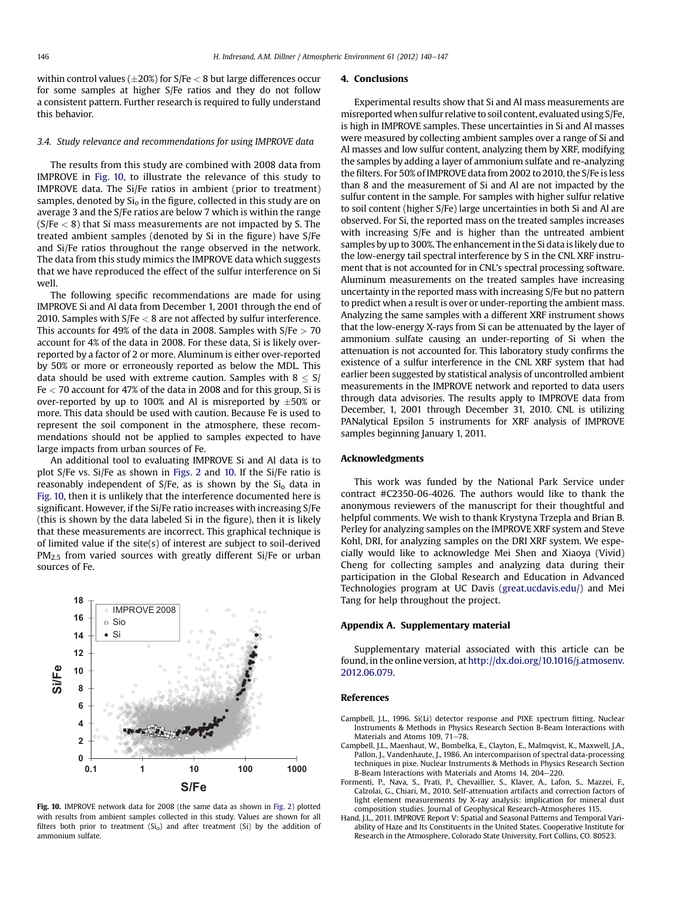<span id="page-6-0"></span>within control values ( $\pm$ 20%) for S/Fe  $<$  8 but large differences occur for some samples at higher S/Fe ratios and they do not follow a consistent pattern. Further research is required to fully understand this behavior.

#### 3.4. Study relevance and recommendations for using IMPROVE data

The results from this study are combined with 2008 data from IMPROVE in Fig. 10, to illustrate the relevance of this study to IMPROVE data. The Si/Fe ratios in ambient (prior to treatment) samples, denoted by Si<sub>o</sub> in the figure, collected in this study are on average 3 and the S/Fe ratios are below 7 which is within the range  $(S/Fe < 8)$  that Si mass measurements are not impacted by S. The treated ambient samples (denoted by Si in the figure) have S/Fe and Si/Fe ratios throughout the range observed in the network. The data from this study mimics the IMPROVE data which suggests that we have reproduced the effect of the sulfur interference on Si well.

The following specific recommendations are made for using IMPROVE Si and Al data from December 1, 2001 through the end of 2010. Samples with S/Fe < 8 are not affected by sulfur interference. This accounts for 49% of the data in 2008. Samples with  $S/Fe > 70$ account for 4% of the data in 2008. For these data, Si is likely overreported by a factor of 2 or more. Aluminum is either over-reported by 50% or more or erroneously reported as below the MDL. This data should be used with extreme caution. Samples with  $8 \leq S/$ Fe < 70 account for 47% of the data in 2008 and for this group, Si is over-reported by up to 100% and Al is misreported by  $\pm 50\%$  or more. This data should be used with caution. Because Fe is used to represent the soil component in the atmosphere, these recommendations should not be applied to samples expected to have large impacts from urban sources of Fe.

An additional tool to evaluating IMPROVE Si and Al data is to plot S/Fe vs. Si/Fe as shown in [Figs. 2](#page-1-0) and 10. If the Si/Fe ratio is reasonably independent of S/Fe, as is shown by the  $Si<sub>o</sub>$  data in Fig. 10, then it is unlikely that the interference documented here is significant. However, if the Si/Fe ratio increases with increasing S/Fe (this is shown by the data labeled Si in the figure), then it is likely that these measurements are incorrect. This graphical technique is of limited value if the site(s) of interest are subject to soil-derived  $PM<sub>2.5</sub>$  from varied sources with greatly different Si/Fe or urban sources of Fe.



Fig. 10. IMPROVE network data for 2008 (the same data as shown in [Fig. 2](#page-1-0)) plotted with results from ambient samples collected in this study. Values are shown for all filters both prior to treatment  $(Si_0)$  and after treatment  $(Si)$  by the addition of ammonium sulfate.

#### 4. Conclusions

Experimental results show that Si and Al mass measurements are misreported when sulfur relative to soil content, evaluated using S/Fe, is high in IMPROVE samples. These uncertainties in Si and Al masses were measured by collecting ambient samples over a range of Si and Al masses and low sulfur content, analyzing them by XRF, modifying the samples by adding a layer of ammonium sulfate and re-analyzing the filters. For 50% of IMPROVE data from 2002 to 2010, the S/Fe is less than 8 and the measurement of Si and Al are not impacted by the sulfur content in the sample. For samples with higher sulfur relative to soil content (higher S/Fe) large uncertainties in both Si and Al are observed. For Si, the reported mass on the treated samples increases with increasing S/Fe and is higher than the untreated ambient samples by up to 300%. The enhancement in the Si data is likely due to the low-energy tail spectral interference by S in the CNL XRF instrument that is not accounted for in CNL's spectral processing software. Aluminum measurements on the treated samples have increasing uncertainty in the reported mass with increasing S/Fe but no pattern to predict when a result is over or under-reporting the ambient mass. Analyzing the same samples with a different XRF instrument shows that the low-energy X-rays from Si can be attenuated by the layer of ammonium sulfate causing an under-reporting of Si when the attenuation is not accounted for. This laboratory study confirms the existence of a sulfur interference in the CNL XRF system that had earlier been suggested by statistical analysis of uncontrolled ambient measurements in the IMPROVE network and reported to data users through data advisories. The results apply to IMPROVE data from December, 1, 2001 through December 31, 2010. CNL is utilizing PANalytical Epsilon 5 instruments for XRF analysis of IMPROVE samples beginning January 1, 2011.

#### Acknowledgments

This work was funded by the National Park Service under contract #C2350-06-4026. The authors would like to thank the anonymous reviewers of the manuscript for their thoughtful and helpful comments. We wish to thank Krystyna Trzepla and Brian B. Perley for analyzing samples on the IMPROVE XRF system and Steve Kohl, DRI, for analyzing samples on the DRI XRF system. We especially would like to acknowledge Mei Shen and Xiaoya (Vivid) Cheng for collecting samples and analyzing data during their participation in the Global Research and Education in Advanced Technologies program at UC Davis ([great.ucdavis.edu/](http://great.ucdavis.edu/)) and Mei Tang for help throughout the project.

#### Appendix A. Supplementary material

Supplementary material associated with this article can be found, in the online version, at [http://dx.doi.org/10.1016/j.atmosenv.](http://dx.doi.org/10.1016/j.atmosenv.2012.06.079) [2012.06.079.](http://dx.doi.org/10.1016/j.atmosenv.2012.06.079)

### References

- Campbell, J.L., 1996. Si(Li) detector response and PIXE spectrum fitting. Nuclear Instruments & Methods in Physics Research Section B-Beam Interactions with Materials and Atoms  $109, 71-78.$
- Campbell, J.L., Maenhaut, W., Bombelka, E., Clayton, E., Malmqvist, K., Maxwell, J.A., Pallon, J., Vandenhaute, J., 1986. An intercomparison of spectral data-processing techniques in pixe. Nuclear Instruments & Methods in Physics Research Section B-Beam Interactions with Materials and Atoms 14, 204-220.
- Formenti, P., Nava, S., Prati, P., Chevaillier, S., Klaver, A., Lafon, S., Mazzei, F., Calzolai, G., Chiari, M., 2010. Self-attenuation artifacts and correction factors of light element measurements by X-ray analysis: implication for mineral dust composition studies. Journal of Geophysical Research-Atmospheres 115.
- Hand, J.L., 2011. IMPROVE Report V: Spatial and Seasonal Patterns and Temporal Variability of Haze and Its Constituents in the United States. Cooperative Institute for Research in the Atmosphere, Colorado State University, Fort Collins, CO. 80523.